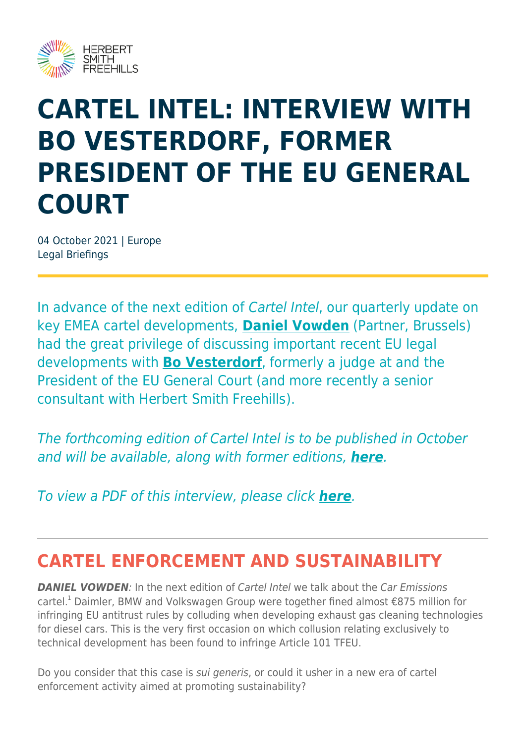

# **CARTEL INTEL: INTERVIEW WITH BO VESTERDORF, FORMER PRESIDENT OF THE EU GENERAL COURT**

04 October 2021 | Europe Legal Briefings

In advance of the next edition of Cartel Intel, our quarterly update on key EMEA cartel developments, **[Daniel Vowden](https://www.herbertsmithfreehills.com/our-people/daniel-vowden)** (Partner, Brussels) had the great privilege of discussing important recent EU legal developments with **[Bo Vesterdorf](https://www.herbertsmithfreehills.com/our-people/bo-vesterdorf)**, formerly a judge at and the President of the EU General Court (and more recently a senior consultant with Herbert Smith Freehills).

The forthcoming edition of Cartel Intel is to be published in October and will be available, along with former editions, *[here](https://www.herbertsmithfreehills.com/latest-thinking/cartel-intel-%E2%80%93-updates-from-our-emea-network)*.

To view a PDF of this interview, please click *[here](https://sites-herbertsmithfreehills.vuturevx.com/20/24346/landing-pages/cartel-intel-interview---daniel-vowden-and-bo-vesterdorf.pdf)*.

## **CARTEL ENFORCEMENT AND SUSTAINABILITY**

**DANIEL VOWDEN:** In the next edition of Cartel Intel we talk about the Car Emissions cartel.<sup>1</sup> Daimler, BMW and Volkswagen Group were together fined almost  $\epsilon$ 875 million for infringing EU antitrust rules by colluding when developing exhaust gas cleaning technologies for diesel cars. This is the very first occasion on which collusion relating exclusively to technical development has been found to infringe Article 101 TFEU.

Do you consider that this case is sui generis, or could it usher in a new era of cartel enforcement activity aimed at promoting sustainability?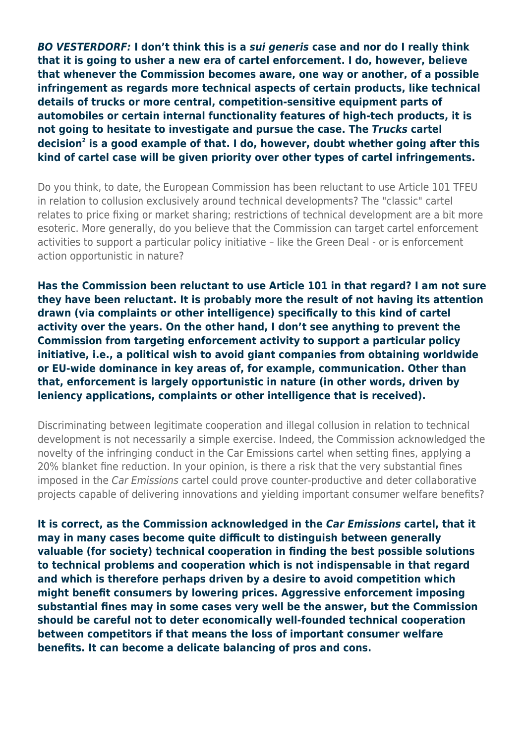*BO VESTERDORF:* **I don't think this is a** *sui generis* **case and nor do I really think that it is going to usher a new era of cartel enforcement. I do, however, believe that whenever the Commission becomes aware, one way or another, of a possible infringement as regards more technical aspects of certain products, like technical details of trucks or more central, competition-sensitive equipment parts of automobiles or certain internal functionality features of high-tech products, it is not going to hesitate to investigate and pursue the case. The** *Trucks* **cartel decision<sup>2</sup> is a good example of that. I do, however, doubt whether going after this kind of cartel case will be given priority over other types of cartel infringements.**

Do you think, to date, the European Commission has been reluctant to use Article 101 TFEU in relation to collusion exclusively around technical developments? The "classic" cartel relates to price fixing or market sharing; restrictions of technical development are a bit more esoteric. More generally, do you believe that the Commission can target cartel enforcement activities to support a particular policy initiative – like the Green Deal - or is enforcement action opportunistic in nature?

**Has the Commission been reluctant to use Article 101 in that regard? I am not sure they have been reluctant. It is probably more the result of not having its attention drawn (via complaints or other intelligence) specifically to this kind of cartel activity over the years. On the other hand, I don't see anything to prevent the Commission from targeting enforcement activity to support a particular policy initiative, i.e., a political wish to avoid giant companies from obtaining worldwide or EU-wide dominance in key areas of, for example, communication. Other than that, enforcement is largely opportunistic in nature (in other words, driven by leniency applications, complaints or other intelligence that is received).**

Discriminating between legitimate cooperation and illegal collusion in relation to technical development is not necessarily a simple exercise. Indeed, the Commission acknowledged the novelty of the infringing conduct in the Car Emissions cartel when setting fines, applying a 20% blanket fine reduction. In your opinion, is there a risk that the very substantial fines imposed in the Car Emissions cartel could prove counter-productive and deter collaborative projects capable of delivering innovations and yielding important consumer welfare benefits?

**It is correct, as the Commission acknowledged in the** *Car Emissions* **cartel, that it may in many cases become quite difficult to distinguish between generally valuable (for society) technical cooperation in finding the best possible solutions to technical problems and cooperation which is not indispensable in that regard and which is therefore perhaps driven by a desire to avoid competition which might benefit consumers by lowering prices. Aggressive enforcement imposing substantial fines may in some cases very well be the answer, but the Commission should be careful not to deter economically well-founded technical cooperation between competitors if that means the loss of important consumer welfare benefits. It can become a delicate balancing of pros and cons.**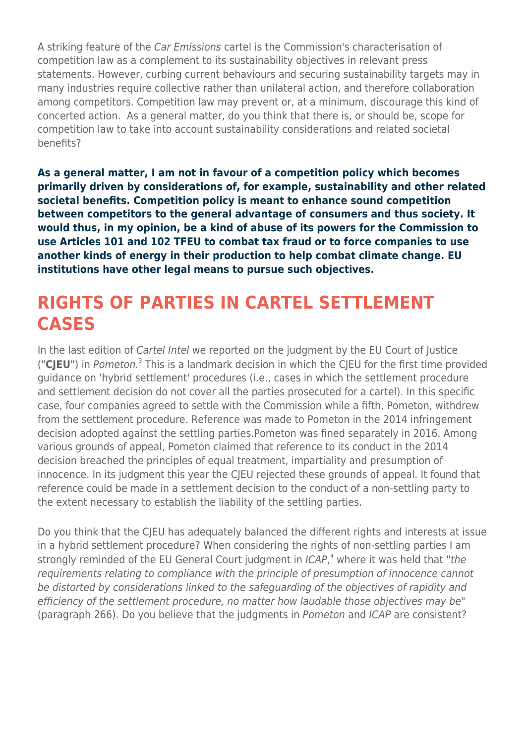A striking feature of the Car Emissions cartel is the Commission's characterisation of competition law as a complement to its sustainability objectives in relevant press statements. However, curbing current behaviours and securing sustainability targets may in many industries require collective rather than unilateral action, and therefore collaboration among competitors. Competition law may prevent or, at a minimum, discourage this kind of concerted action. As a general matter, do you think that there is, or should be, scope for competition law to take into account sustainability considerations and related societal benefits?

**As a general matter, I am not in favour of a competition policy which becomes primarily driven by considerations of, for example, sustainability and other related societal benefits. Competition policy is meant to enhance sound competition between competitors to the general advantage of consumers and thus society. It would thus, in my opinion, be a kind of abuse of its powers for the Commission to use Articles 101 and 102 TFEU to combat tax fraud or to force companies to use another kinds of energy in their production to help combat climate change. EU institutions have other legal means to pursue such objectives.**

### **RIGHTS OF PARTIES IN CARTEL SETTLEMENT CASES**

In the last edition of Cartel Intel we reported on the judgment by the EU Court of Justice ("CJEU") in Pometon.<sup>3</sup> This is a landmark decision in which the CJEU for the first time provided guidance on 'hybrid settlement' procedures (i.e., cases in which the settlement procedure and settlement decision do not cover all the parties prosecuted for a cartel). In this specific case, four companies agreed to settle with the Commission while a fifth, Pometon, withdrew from the settlement procedure. Reference was made to Pometon in the 2014 infringement decision adopted against the settling parties.Pometon was fined separately in 2016. Among various grounds of appeal, Pometon claimed that reference to its conduct in the 2014 decision breached the principles of equal treatment, impartiality and presumption of innocence. In its judgment this year the CJEU rejected these grounds of appeal. It found that reference could be made in a settlement decision to the conduct of a non-settling party to the extent necessary to establish the liability of the settling parties.

Do you think that the CJEU has adequately balanced the different rights and interests at issue in a hybrid settlement procedure? When considering the rights of non-settling parties I am strongly reminded of the EU General Court judgment in ICAP,<sup>4</sup> where it was held that "the requirements relating to compliance with the principle of presumption of innocence cannot be distorted by considerations linked to the safeguarding of the objectives of rapidity and efficiency of the settlement procedure, no matter how laudable those objectives may be" (paragraph 266). Do you believe that the judgments in Pometon and ICAP are consistent?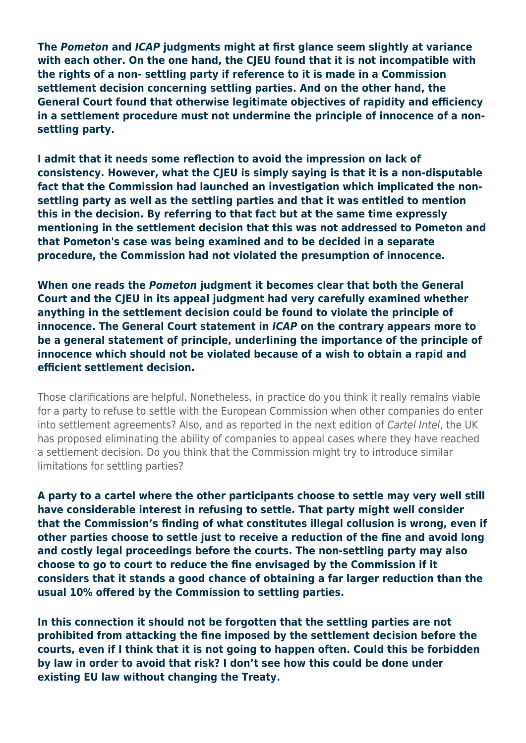**The** *Pometon* **and** *ICAP* **judgments might at first glance seem slightly at variance with each other. On the one hand, the CJEU found that it is not incompatible with the rights of a non- settling party if reference to it is made in a Commission settlement decision concerning settling parties. And on the other hand, the General Court found that otherwise legitimate objectives of rapidity and efficiency in a settlement procedure must not undermine the principle of innocence of a nonsettling party.** 

**I admit that it needs some reflection to avoid the impression on lack of consistency. However, what the CJEU is simply saying is that it is a non-disputable fact that the Commission had launched an investigation which implicated the nonsettling party as well as the settling parties and that it was entitled to mention this in the decision. By referring to that fact but at the same time expressly mentioning in the settlement decision that this was not addressed to Pometon and that Pometon's case was being examined and to be decided in a separate procedure, the Commission had not violated the presumption of innocence.** 

**When one reads the** *Pometon* **judgment it becomes clear that both the General Court and the CJEU in its appeal judgment had very carefully examined whether anything in the settlement decision could be found to violate the principle of innocence. The General Court statement in** *ICAP* **on the contrary appears more to be a general statement of principle, underlining the importance of the principle of innocence which should not be violated because of a wish to obtain a rapid and efficient settlement decision.**

Those clarifications are helpful. Nonetheless, in practice do you think it really remains viable for a party to refuse to settle with the European Commission when other companies do enter into settlement agreements? Also, and as reported in the next edition of Cartel Intel, the UK has proposed eliminating the ability of companies to appeal cases where they have reached a settlement decision. Do you think that the Commission might try to introduce similar limitations for settling parties?

**A party to a cartel where the other participants choose to settle may very well still have considerable interest in refusing to settle. That party might well consider that the Commission's finding of what constitutes illegal collusion is wrong, even if other parties choose to settle just to receive a reduction of the fine and avoid long and costly legal proceedings before the courts. The non-settling party may also choose to go to court to reduce the fine envisaged by the Commission if it considers that it stands a good chance of obtaining a far larger reduction than the usual 10% offered by the Commission to settling parties.** 

**In this connection it should not be forgotten that the settling parties are not prohibited from attacking the fine imposed by the settlement decision before the courts, even if I think that it is not going to happen often. Could this be forbidden by law in order to avoid that risk? I don't see how this could be done under existing EU law without changing the Treaty.**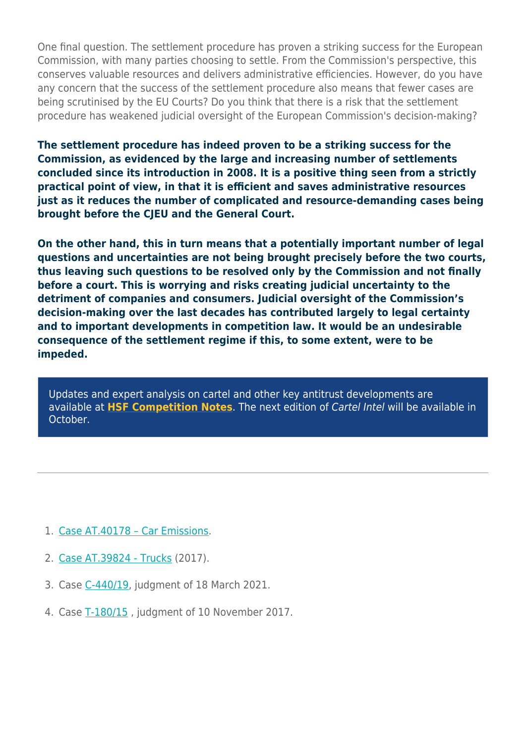One final question. The settlement procedure has proven a striking success for the European Commission, with many parties choosing to settle. From the Commission's perspective, this conserves valuable resources and delivers administrative efficiencies. However, do you have any concern that the success of the settlement procedure also means that fewer cases are being scrutinised by the EU Courts? Do you think that there is a risk that the settlement procedure has weakened judicial oversight of the European Commission's decision-making?

**The settlement procedure has indeed proven to be a striking success for the Commission, as evidenced by the large and increasing number of settlements concluded since its introduction in 2008. It is a positive thing seen from a strictly practical point of view, in that it is efficient and saves administrative resources just as it reduces the number of complicated and resource-demanding cases being brought before the CJEU and the General Court.**

**On the other hand, this in turn means that a potentially important number of legal questions and uncertainties are not being brought precisely before the two courts, thus leaving such questions to be resolved only by the Commission and not finally before a court. This is worrying and risks creating judicial uncertainty to the detriment of companies and consumers. Judicial oversight of the Commission's decision-making over the last decades has contributed largely to legal certainty and to important developments in competition law. It would be an undesirable consequence of the settlement regime if this, to some extent, were to be impeded.** 

Updates and expert analysis on cartel and other key antitrust developments are available at **[HSF Competition Notes](https://hsfnotes.com/crt/)**. The next edition of Cartel Intel will be available in October.

- 1. [Case AT.40178 Car Emissions](https://ec.europa.eu/competition/elojade/isef/case_details.cfm?proc_code=1_40178).
- 2. [Case AT.39824 Trucks](https://ec.europa.eu/competition/elojade/isef/case_details.cfm?proc_code=1_39824) (2017).
- 3. Case [C-440/19,](https://curia.europa.eu/juris/document/document.jsf;jsessionid=65BE1AB147890AE5B0658AEDEF59C66E?text=&docid=239001&pageIndex=0&doclang=EN&mode=lst&dir=&occ=first&part=1&cid=5245582) judgment of 18 March 2021.
- 4. Case [T-180/15](https://eur-lex.europa.eu/legal-content/en/TXT/?uri=CELEX:62015TJ0180) , judgment of 10 November 2017.